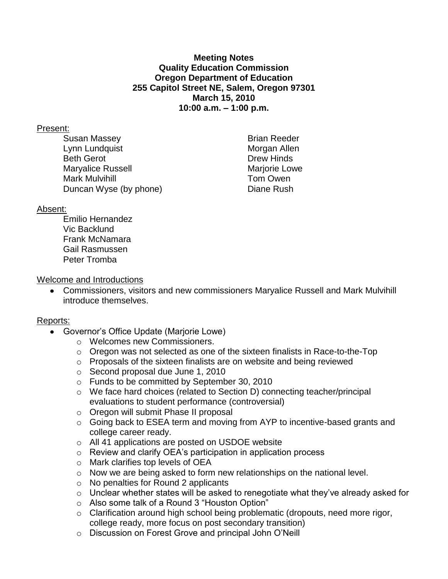#### **Meeting Notes Quality Education Commission Oregon Department of Education 255 Capitol Street NE, Salem, Oregon 97301 March 15, 2010 10:00 a.m. – 1:00 p.m.**

#### Present:

Susan Massey **Brian Reeder** Lynn Lundquist **Morgan Allen** Beth Gerot **Drew Hinds** Maryalice Russell Mariorie Lowe Mark Mulvihill **Mark Mulvihill** Nowell Assembly Mark Mulvihill Duncan Wyse (by phone) Diane Rush

## Absent:

Emilio Hernandez Vic Backlund Frank McNamara Gail Rasmussen Peter Tromba

## Welcome and Introductions

Commissioners, visitors and new commissioners Maryalice Russell and Mark Mulvihill  $\bullet$ introduce themselves.

# Reports:

- Governor's Office Update (Marjorie Lowe)
	- o Welcomes new Commissioners.
	- o Oregon was not selected as one of the sixteen finalists in Race-to-the-Top
	- o Proposals of the sixteen finalists are on website and being reviewed
	- o Second proposal due June 1, 2010
	- o Funds to be committed by September 30, 2010
	- o We face hard choices (related to Section D) connecting teacher/principal evaluations to student performance (controversial)
	- o Oregon will submit Phase II proposal
	- o Going back to ESEA term and moving from AYP to incentive-based grants and college career ready.
	- o All 41 applications are posted on USDOE website
	- o Review and clarify OEA"s participation in application process
	- o Mark clarifies top levels of OEA
	- $\circ$  Now we are being asked to form new relationships on the national level.
	- o No penalties for Round 2 applicants
	- $\circ$  Unclear whether states will be asked to renegotiate what they've already asked for
	- o Also some talk of a Round 3 "Houston Option"
	- o Clarification around high school being problematic (dropouts, need more rigor, college ready, more focus on post secondary transition)
	- o Discussion on Forest Grove and principal John O"Neill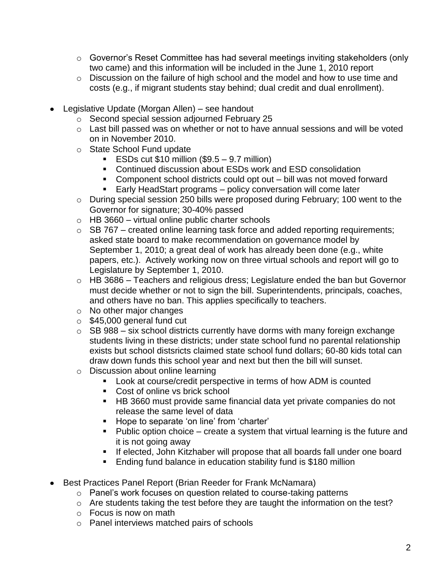- o Governor"s Reset Committee has had several meetings inviting stakeholders (only two came) and this information will be included in the June 1, 2010 report
- o Discussion on the failure of high school and the model and how to use time and costs (e.g., if migrant students stay behind; dual credit and dual enrollment).
- Legislative Update (Morgan Allen) see handout
	- o Second special session adjourned February 25
	- o Last bill passed was on whether or not to have annual sessions and will be voted on in November 2010.
	- o State School Fund update
		- ESDs cut  $$10$  million  $($9.5 9.7$  million)
		- Continued discussion about ESDs work and ESD consolidation
		- Component school districts could opt out bill was not moved forward
		- Early HeadStart programs policy conversation will come later
	- o During special session 250 bills were proposed during February; 100 went to the Governor for signature; 30-40% passed
	- $\circ$  HB 3660 virtual online public charter schools
	- $\circ$  SB 767 created online learning task force and added reporting requirements; asked state board to make recommendation on governance model by September 1, 2010; a great deal of work has already been done (e.g., white papers, etc.). Actively working now on three virtual schools and report will go to Legislature by September 1, 2010.
	- o HB 3686 Teachers and religious dress; Legislature ended the ban but Governor must decide whether or not to sign the bill. Superintendents, principals, coaches, and others have no ban. This applies specifically to teachers.
	- o No other major changes
	- o \$45,000 general fund cut
	- $\circ$  SB 988 six school districts currently have dorms with many foreign exchange students living in these districts; under state school fund no parental relationship exists but school distsricts claimed state school fund dollars; 60-80 kids total can draw down funds this school year and next but then the bill will sunset.
	- o Discussion about online learning
		- **Look at course/credit perspective in terms of how ADM is counted**
		- Cost of online vs brick school
		- HB 3660 must provide same financial data yet private companies do not release the same level of data
		- Hope to separate 'on line' from 'charter'
		- $\blacksquare$  Public option choice create a system that virtual learning is the future and it is not going away
		- **If elected, John Kitzhaber will propose that all boards fall under one board**
		- **Ending fund balance in education stability fund is \$180 million**
- Best Practices Panel Report (Brian Reeder for Frank McNamara)  $\bullet$ 
	- o Panel"s work focuses on question related to course-taking patterns
	- o Are students taking the test before they are taught the information on the test?
	- o Focus is now on math
	- o Panel interviews matched pairs of schools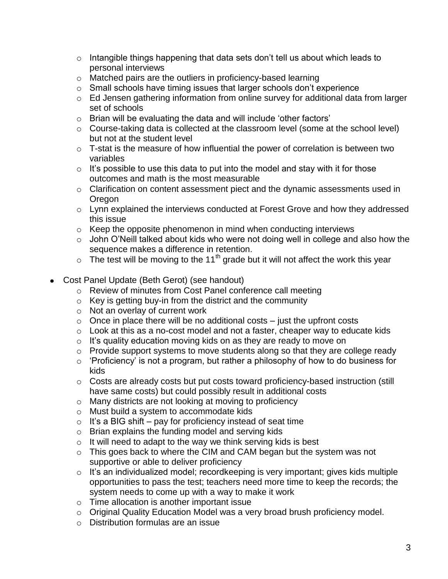- $\circ$  Intangible things happening that data sets don't tell us about which leads to personal interviews
- o Matched pairs are the outliers in proficiency-based learning
- o Small schools have timing issues that larger schools don"t experience
- o Ed Jensen gathering information from online survey for additional data from larger set of schools
- o Brian will be evaluating the data and will include "other factors"
- o Course-taking data is collected at the classroom level (some at the school level) but not at the student level
- $\circ$  T-stat is the measure of how influential the power of correlation is between two variables
- $\circ$  It's possible to use this data to put into the model and stay with it for those outcomes and math is the most measurable
- o Clarification on content assessment piect and the dynamic assessments used in **Oregon**
- o Lynn explained the interviews conducted at Forest Grove and how they addressed this issue
- o Keep the opposite phenomenon in mind when conducting interviews
- $\circ$  John O'Neill talked about kids who were not doing well in college and also how the sequence makes a difference in retention.
- $\circ$  The test will be moving to the 11<sup>th</sup> grade but it will not affect the work this year
- Cost Panel Update (Beth Gerot) (see handout)
	- o Review of minutes from Cost Panel conference call meeting
	- $\circ$  Key is getting buy-in from the district and the community
	- o Not an overlay of current work
	- $\circ$  Once in place there will be no additional costs just the upfront costs
	- o Look at this as a no-cost model and not a faster, cheaper way to educate kids
	- $\circ$  It's quality education moving kids on as they are ready to move on
	- o Provide support systems to move students along so that they are college ready
	- $\circ$  'Proficiency' is not a program, but rather a philosophy of how to do business for kids
	- o Costs are already costs but put costs toward proficiency-based instruction (still have same costs) but could possibly result in additional costs
	- o Many districts are not looking at moving to proficiency
	- o Must build a system to accommodate kids
	- $\circ$  It's a BIG shift pay for proficiency instead of seat time
	- o Brian explains the funding model and serving kids
	- $\circ$  It will need to adapt to the way we think serving kids is best
	- o This goes back to where the CIM and CAM began but the system was not supportive or able to deliver proficiency
	- o It"s an individualized model; recordkeeping is very important; gives kids multiple opportunities to pass the test; teachers need more time to keep the records; the system needs to come up with a way to make it work
	- o Time allocation is another important issue
	- o Original Quality Education Model was a very broad brush proficiency model.
	- o Distribution formulas are an issue